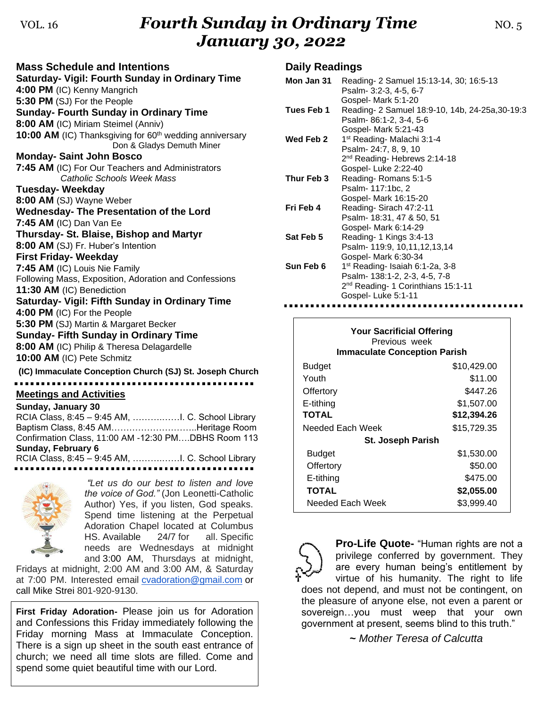# VOL. 16*Fourth Sunday in Ordinary Time* MO. 5 *January 30, 2022*

**Mass Schedule and Intentions Saturday- Vigil: Fourth Sunday in Ordinary Time 4:00 PM** (IC) Kenny Mangrich **5:30 PM** (SJ) For the People **Sunday- Fourth Sunday in Ordinary Time 8:00 AM** (IC) Miriam Steimel (Anniv) **10:00 AM** (IC) Thanksgiving for 60<sup>th</sup> wedding anniversary Don & Gladys Demuth Miner **Monday- Saint John Bosco 7:45 AM** (IC) For Our Teachers and Administrators *Catholic Schools Week Mass* **Tuesday- Weekday 8:00 AM** (SJ) Wayne Weber **Wednesday- The Presentation of the Lord 7:45 AM** (IC) Dan Van Ee **Thursday- St. Blaise, Bishop and Martyr 8:00 AM** (SJ) Fr. Huber's Intention **First Friday- Weekday 7:45 AM** (IC) Louis Nie Family Following Mass, Exposition, Adoration and Confessions **11:30 AM** (IC) Benediction **Saturday- Vigil: Fifth Sunday in Ordinary Time 4:00 PM** (IC) For the People **5:30 PM** (SJ) Martin & Margaret Becker **Sunday- Fifth Sunday in Ordinary Time 8:00 AM** (IC) Philip & Theresa Delagardelle **10:00 AM** (IC) Pete Schmitz

**(IC) Immaculate Conception Church (SJ) St. Joseph Church Meetings and Activities**

**Sunday, January 30** RCIA Class, 8:45 – 9:45 AM, ……….……I. C. School Library Baptism Class, 8:45 AM………………………..Heritage Room Confirmation Class, 11:00 AM -12:30 PM….DBHS Room 113 **Sunday, February 6** RCIA Class, 8:45 – 9:45 AM, ……….……I. C. School Library



*"Let us do our best to listen and love the voice of God."* (Jon Leonetti-Catholic Author) Yes, if you listen, God speaks. Spend time listening at the Perpetual Adoration Chapel located at Columbus HS. Available 24/7 for all. Specific needs are Wednesdays at midnight and 3:00 AM, Thursdays at midnight,

Fridays at midnight, 2:00 AM and 3:00 AM, & Saturday at 7:00 PM. Interested email [cvadoration@gmail.com](mailto:cvadoration@gmail.com) or call Mike Strei 801-920-9130.

**First Friday Adoration-** Please join us for Adoration and Confessions this Friday immediately following the Friday morning Mass at Immaculate Conception. There is a sign up sheet in the south east entrance of church; we need all time slots are filled. Come and spend some quiet beautiful time with our Lord.

#### **Daily Readings**

| Mon Jan 31 | Reading- 2 Samuel 15:13-14, 30; 16:5-13<br>Psalm- 3:2-3, 4-5, 6-7<br>Gospel- Mark 5:1-20                                                   |
|------------|--------------------------------------------------------------------------------------------------------------------------------------------|
| Tues Feb 1 | Reading- 2 Samuel 18:9-10, 14b, 24-25a, 30-19:3<br>Psalm- 86:1-2, 3-4, 5-6                                                                 |
| Wed Feb 2  | Gospel- Mark 5:21-43<br>1 <sup>st</sup> Reading- Malachi 3:1-4<br>Psalm- 24:7, 8, 9, 10<br>2 <sup>nd</sup> Reading-Hebrews 2:14-18         |
| Thur Feb 3 | Gospel-Luke 2:22-40<br>Reading-Romans 5:1-5<br>Psalm- 117:1bc, 2<br>Gospel- Mark 16:15-20                                                  |
| Fri Feb 4  | Reading-Sirach 47:2-11<br>Psalm- 18:31, 47 & 50, 51<br>Gospel- Mark 6:14-29                                                                |
| Sat Feb 5  | Reading- 1 Kings 3:4-13<br>Psalm- 119:9, 10,11,12,13,14<br>Gospel- Mark 6:30-34                                                            |
| Sun Feb 6  | 1 <sup>st</sup> Reading- Isaiah 6:1-2a, 3-8<br>Psalm- 138:1-2, 2-3, 4-5, 7-8<br>$2nd$ Reading- 1 Corinthians 15:1-11<br>Gospel-Luke 5:1-11 |

| <b>Your Sacrificial Offering</b><br>Previous week<br><b>Immaculate Conception Parish</b> |             |  |  |
|------------------------------------------------------------------------------------------|-------------|--|--|
| <b>Budget</b>                                                                            | \$10,429.00 |  |  |
| Youth                                                                                    | \$11.00     |  |  |
| Offertory                                                                                | \$447.26    |  |  |
| E-tithing                                                                                | \$1,507.00  |  |  |
| TOTAL                                                                                    | \$12,394.26 |  |  |
| Needed Each Week                                                                         | \$15,729.35 |  |  |
| <b>St. Joseph Parish</b>                                                                 |             |  |  |
| Budget                                                                                   | \$1,530.00  |  |  |
| Offertory                                                                                | \$50.00     |  |  |
| E-tithing                                                                                | \$475.00    |  |  |
| <b>TOTAL</b>                                                                             | \$2,055.00  |  |  |
| Needed Each Week                                                                         | \$3.999.40  |  |  |

**Pro-Life Quote-** "Human rights are not a privilege conferred by government. They are every human being's entitlement by virtue of his humanity. The right to life does not depend, and must not be contingent, on the pleasure of anyone else, not even a parent or sovereign…you must weep that your own government at present, seems blind to this truth."

**~** *Mother Teresa of Calcutta*